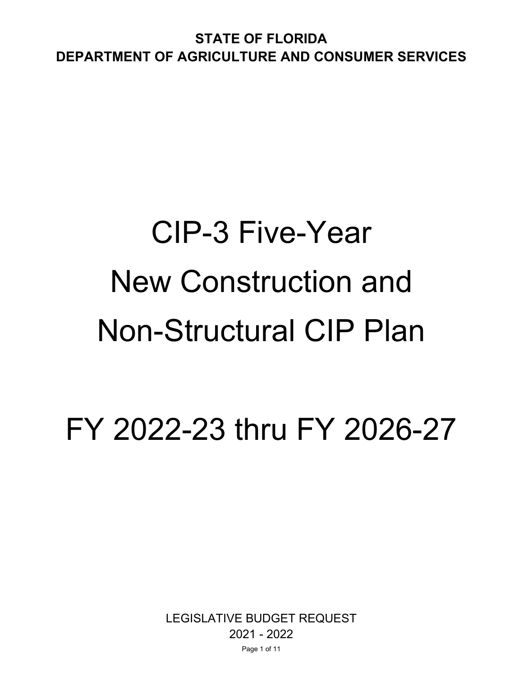# CIP-3 Five-Year New Construction and Non-Structural CIP Plan

FY 2022-23 thru FY 2026-27

LEGISLATIVE BUDGET REQUEST 2021 - 2022 Page 1 of 11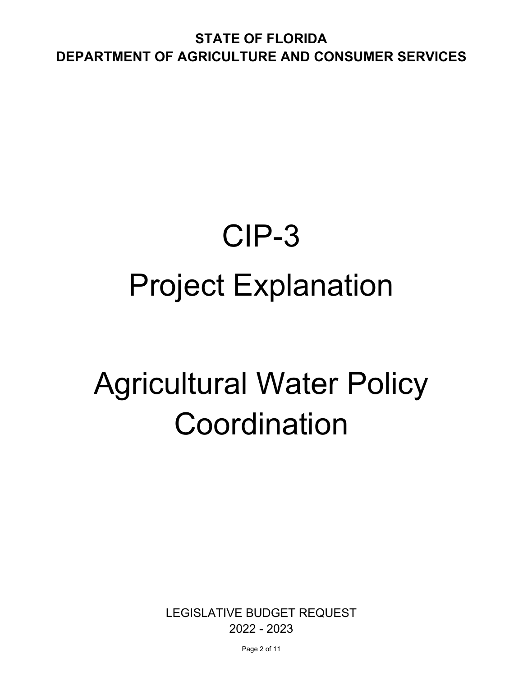**STATE OF FLORIDA DEPARTMENT OF AGRICULTURE AND CONSUMER SERVICES** 

## CIP-3 Project Explanation

## Agricultural Water Policy Coordination

LEGISLATIVE BUDGET REQUEST 2022 - 2023

Page 2 of 11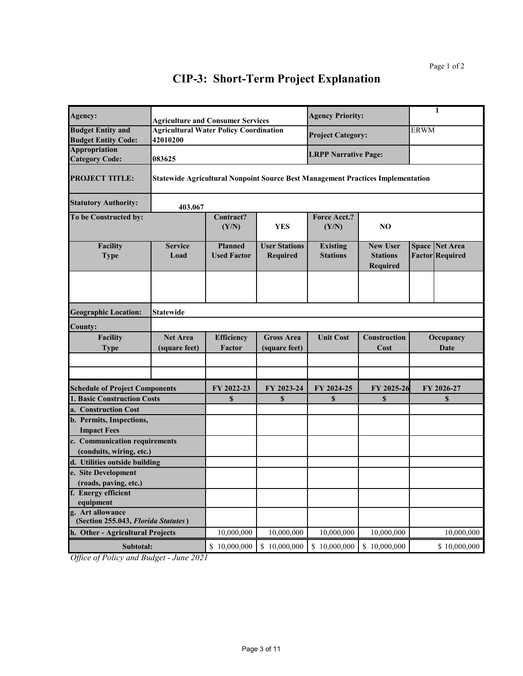| Agency:                                                                              | <b>Agriculture and Consumer Services</b>                                               |                                      |                                         | <b>Agency Priority:</b>            |                                                |             | 1                                               |  |
|--------------------------------------------------------------------------------------|----------------------------------------------------------------------------------------|--------------------------------------|-----------------------------------------|------------------------------------|------------------------------------------------|-------------|-------------------------------------------------|--|
| <b>Budget Entity and</b><br><b>Budget Entity Code:</b>                               | <b>Agricultural Water Policy Coordination</b><br>42010200                              |                                      |                                         | <b>Project Category:</b>           |                                                | <b>ERWM</b> |                                                 |  |
| <b>Appropriation</b><br><b>Category Code:</b>                                        | 083625                                                                                 |                                      |                                         | <b>LRPP Narrative Page:</b>        |                                                |             |                                                 |  |
| <b>PROJECT TITLE:</b>                                                                | <b>Statewide Agricultural Nonpoint Source Best Management Practices Implementation</b> |                                      |                                         |                                    |                                                |             |                                                 |  |
| <b>Statutory Authority:</b>                                                          | 403.067                                                                                |                                      |                                         |                                    |                                                |             |                                                 |  |
| To be Constructed by:                                                                |                                                                                        | Contract?<br>(Y/N)                   | <b>YES</b>                              | Force Acct.?<br>(Y/N)              | NO                                             |             |                                                 |  |
| Facility<br><b>Type</b>                                                              | <b>Service</b><br>Load                                                                 | <b>Planned</b><br><b>Used Factor</b> | <b>User Stations</b><br><b>Required</b> | <b>Existing</b><br><b>Stations</b> | <b>New User</b><br><b>Stations</b><br>Required |             | <b>Space Net Area</b><br><b>Factor Required</b> |  |
| <b>Geographic Location:</b>                                                          | <b>Statewide</b>                                                                       |                                      |                                         |                                    |                                                |             |                                                 |  |
|                                                                                      |                                                                                        |                                      |                                         |                                    |                                                |             |                                                 |  |
| <b>County:</b><br><b>Facility</b>                                                    | <b>Net Area</b>                                                                        | Efficiency                           | <b>Gross Area</b>                       | <b>Unit Cost</b>                   | <b>Construction</b>                            |             | Occupancy                                       |  |
| <b>Type</b>                                                                          | (square feet)                                                                          | Factor                               | (square feet)                           |                                    | Cost                                           |             | Date                                            |  |
|                                                                                      |                                                                                        |                                      |                                         |                                    |                                                |             |                                                 |  |
| <b>Schedule of Project Components</b>                                                |                                                                                        | FY 2022-23                           | FY 2023-24                              | FY 2024-25                         | FY 2025-26                                     |             | FY 2026-27                                      |  |
| <b>1. Basic Construction Costs</b>                                                   |                                                                                        | $\mathbf S$                          | $\mathbf S$                             | $\mathbf S$                        | \$                                             |             | \$                                              |  |
| a. Construction Cost                                                                 |                                                                                        |                                      |                                         |                                    |                                                |             |                                                 |  |
| b. Permits, Inspections,                                                             |                                                                                        |                                      |                                         |                                    |                                                |             |                                                 |  |
| <b>Impact Fees</b>                                                                   |                                                                                        |                                      |                                         |                                    |                                                |             |                                                 |  |
| c. Communication requirements                                                        |                                                                                        |                                      |                                         |                                    |                                                |             |                                                 |  |
| (conduits, wiring, etc.)                                                             |                                                                                        |                                      |                                         |                                    |                                                |             |                                                 |  |
| d. Utilities outside building                                                        |                                                                                        |                                      |                                         |                                    |                                                |             |                                                 |  |
| e. Site Development                                                                  |                                                                                        |                                      |                                         |                                    |                                                |             |                                                 |  |
| (roads, paving, etc.)<br>f. Energy efficient                                         |                                                                                        |                                      |                                         |                                    |                                                |             |                                                 |  |
| equipment                                                                            |                                                                                        |                                      |                                         |                                    |                                                |             |                                                 |  |
| g. Art allowance<br>(Section 255.043, Florida Statutes)                              |                                                                                        |                                      |                                         |                                    |                                                |             |                                                 |  |
| h. Other - Agricultural Projects                                                     |                                                                                        | 10,000,000                           | 10,000,000                              | 10,000,000                         | 10,000,000                                     |             | 10,000,000                                      |  |
| Subtotal:<br>$\alpha$ $\alpha$<br>$\Lambda$ D $\Lambda$ $\sim$ $\Lambda$ D $\Lambda$ | $\sqrt{201}$                                                                           | \$10,000,000                         | \$10,000,000                            | \$10,000,000                       | \$10,000,000                                   |             | \$10,000,000                                    |  |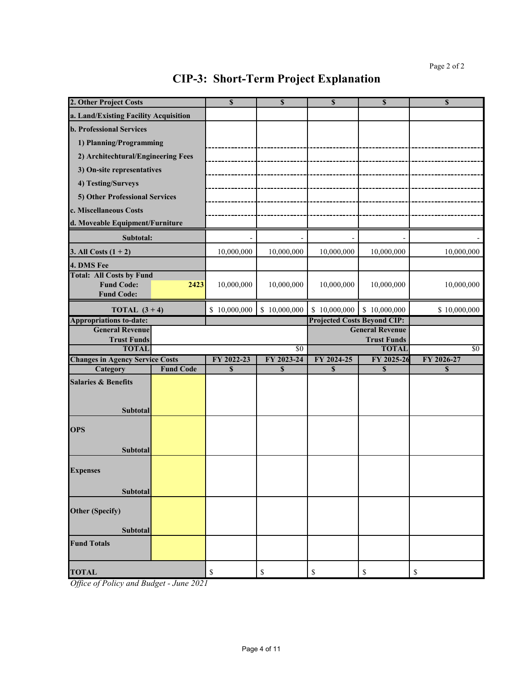| 2. Other Project Costs                                   |                                 | \$           | $\mathbf S$                        | \$                     | $\mathbf S$             | $\mathbf S$ |
|----------------------------------------------------------|---------------------------------|--------------|------------------------------------|------------------------|-------------------------|-------------|
| a. Land/Existing Facility Acquisition                    |                                 |              |                                    |                        |                         |             |
| <b>b. Professional Services</b>                          |                                 |              |                                    |                        |                         |             |
| 1) Planning/Programming                                  |                                 |              |                                    |                        |                         |             |
| 2) Architechtural/Engineering Fees                       |                                 |              |                                    |                        |                         |             |
|                                                          |                                 |              |                                    |                        |                         |             |
| 3) On-site representatives                               |                                 |              |                                    |                        |                         |             |
| 4) Testing/Surveys                                       |                                 |              |                                    |                        |                         |             |
| 5) Other Professional Services                           |                                 |              |                                    |                        |                         |             |
| c. Miscellaneous Costs                                   |                                 |              |                                    |                        |                         |             |
|                                                          | d. Moveable Equipment/Furniture |              |                                    |                        |                         |             |
| Subtotal:                                                |                                 |              |                                    |                        |                         |             |
| 3. All Costs $(1 + 2)$                                   |                                 | 10,000,000   | 10,000,000                         | 10,000,000             | 10,000,000              | 10,000,000  |
| 4. DMS Fee                                               |                                 |              |                                    |                        |                         |             |
| <b>Total: All Costs by Fund</b>                          |                                 |              |                                    |                        |                         |             |
| <b>Fund Code:</b>                                        | 2423                            | 10,000,000   | 10,000,000                         | 10,000,000             | 10,000,000              | 10,000,000  |
| <b>Fund Code:</b>                                        |                                 |              |                                    |                        |                         |             |
| TOTAL $(3+4)$                                            | \$10,000,000                    | \$10,000,000 | \$10,000,000                       | \$10,000,000           | \$10,000,000            |             |
| <b>Appropriations to-date:</b><br><b>General Revenue</b> |                                 |              | <b>Projected Costs Beyond CIP:</b> | <b>General Revenue</b> |                         |             |
| <b>Trust Funds</b>                                       |                                 |              |                                    |                        | <b>Trust Funds</b>      |             |
| <b>TOTAL</b>                                             |                                 |              | \$0                                |                        | <b>TOTAL</b>            | $\sqrt{50}$ |
| <b>Changes in Agency Service Costs</b>                   |                                 | FY 2022-23   | FY 2023-24                         | FY 2024-25             | FY 2025-26              | FY 2026-27  |
| Category                                                 | <b>Fund Code</b>                | \$           | $\mathbf S$                        | \$                     | $\overline{\mathbf{s}}$ | $\mathbf S$ |
| <b>Salaries &amp; Benefits</b>                           |                                 |              |                                    |                        |                         |             |
|                                                          |                                 |              |                                    |                        |                         |             |
| Subtotal                                                 |                                 |              |                                    |                        |                         |             |
|                                                          |                                 |              |                                    |                        |                         |             |
| <b>OPS</b>                                               |                                 |              |                                    |                        |                         |             |
|                                                          |                                 |              |                                    |                        |                         |             |
| <b>Subtotal</b>                                          |                                 |              |                                    |                        |                         |             |
| <b>Expenses</b>                                          |                                 |              |                                    |                        |                         |             |
|                                                          |                                 |              |                                    |                        |                         |             |
| Subtotal                                                 |                                 |              |                                    |                        |                         |             |
|                                                          |                                 |              |                                    |                        |                         |             |
| <b>Other (Specify)</b>                                   |                                 |              |                                    |                        |                         |             |
| <b>Subtotal</b>                                          |                                 |              |                                    |                        |                         |             |
| <b>Fund Totals</b>                                       |                                 |              |                                    |                        |                         |             |
|                                                          |                                 |              |                                    |                        |                         |             |
|                                                          |                                 |              |                                    |                        |                         |             |
| <b>TOTAL</b>                                             |                                 | \$           | \$                                 | \$                     | \$                      | \$          |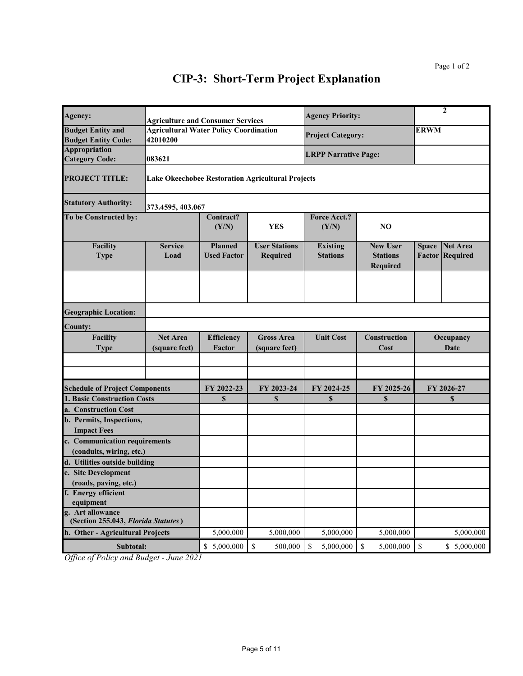| Agency:                                                   | <b>Agriculture and Consumer Services</b>                  |                                      |                                                          | <b>Agency Priority:</b>            |                                                       | $\mathbf{2}$           |                             |
|-----------------------------------------------------------|-----------------------------------------------------------|--------------------------------------|----------------------------------------------------------|------------------------------------|-------------------------------------------------------|------------------------|-----------------------------|
| <b>Budget Entity and</b><br><b>Budget Entity Code:</b>    | <b>Agricultural Water Policy Coordination</b><br>42010200 |                                      |                                                          | <b>Project Category:</b>           |                                                       | <b>ERWM</b>            |                             |
| <b>Appropriation</b><br><b>Category Code:</b>             | 083621                                                    |                                      |                                                          | <b>LRPP Narrative Page:</b>        |                                                       |                        |                             |
| <b>PROJECT TITLE:</b>                                     |                                                           |                                      | <b>Lake Okeechobee Restoration Agricultural Projects</b> |                                    |                                                       |                        |                             |
| <b>Statutory Authority:</b>                               | 373.4595, 403.067                                         |                                      |                                                          |                                    |                                                       |                        |                             |
| To be Constructed by:                                     |                                                           | Contract?<br>(Y/N)                   | <b>YES</b>                                               | <b>Force Acct.?</b><br>(Y/N)       | NO                                                    |                        |                             |
| <b>Facility</b><br><b>Type</b>                            | <b>Service</b><br>Load                                    | <b>Planned</b><br><b>Used Factor</b> | <b>User Stations</b><br>Required                         | <b>Existing</b><br><b>Stations</b> | <b>New User</b><br><b>Stations</b><br><b>Required</b> | <b>Space</b><br>Factor | <b>Net Area</b><br>Required |
| <b>Geographic Location:</b>                               |                                                           |                                      |                                                          |                                    |                                                       |                        |                             |
| <b>County:</b>                                            |                                                           |                                      |                                                          |                                    |                                                       |                        |                             |
| Facility<br><b>Type</b>                                   | <b>Net Area</b><br>(square feet)                          | <b>Efficiency</b><br>Factor          | <b>Gross Area</b><br>(square feet)                       | <b>Unit Cost</b>                   | Construction<br>Cost                                  |                        | Occupancy<br>Date           |
|                                                           |                                                           |                                      |                                                          |                                    |                                                       |                        |                             |
| <b>Schedule of Project Components</b>                     |                                                           | FY 2022-23                           | FY 2023-24                                               | FY 2024-25                         | FY 2025-26                                            |                        | FY 2026-27                  |
| <b>1. Basic Construction Costs</b>                        |                                                           | $\mathbf S$                          | \$                                                       | \$                                 | $\mathbf S$                                           |                        | \$                          |
| a. Construction Cost                                      |                                                           |                                      |                                                          |                                    |                                                       |                        |                             |
| b. Permits, Inspections,                                  |                                                           |                                      |                                                          |                                    |                                                       |                        |                             |
| <b>Impact Fees</b>                                        |                                                           |                                      |                                                          |                                    |                                                       |                        |                             |
| c. Communication requirements                             |                                                           |                                      |                                                          |                                    |                                                       |                        |                             |
| (conduits, wiring, etc.)<br>d. Utilities outside building |                                                           |                                      |                                                          |                                    |                                                       |                        |                             |
| e. Site Development                                       |                                                           |                                      |                                                          |                                    |                                                       |                        |                             |
| (roads, paving, etc.)                                     |                                                           |                                      |                                                          |                                    |                                                       |                        |                             |
| f. Energy efficient                                       |                                                           |                                      |                                                          |                                    |                                                       |                        |                             |
| equipment                                                 |                                                           |                                      |                                                          |                                    |                                                       |                        |                             |
| g. Art allowance<br>(Section 255.043, Florida Statutes)   |                                                           |                                      |                                                          |                                    |                                                       |                        |                             |
| h. Other - Agricultural Projects                          |                                                           | 5,000,000                            | 5,000,000                                                | 5,000,000                          | 5,000,000                                             |                        | 5,000,000                   |
| Subtotal:                                                 |                                                           | \$5,000,000                          | $\mathbb{S}$<br>500,000                                  | 5,000,000<br>\$                    | $\mathbb S$<br>5,000,000                              | $\mathbb{S}$           | \$5,000,000                 |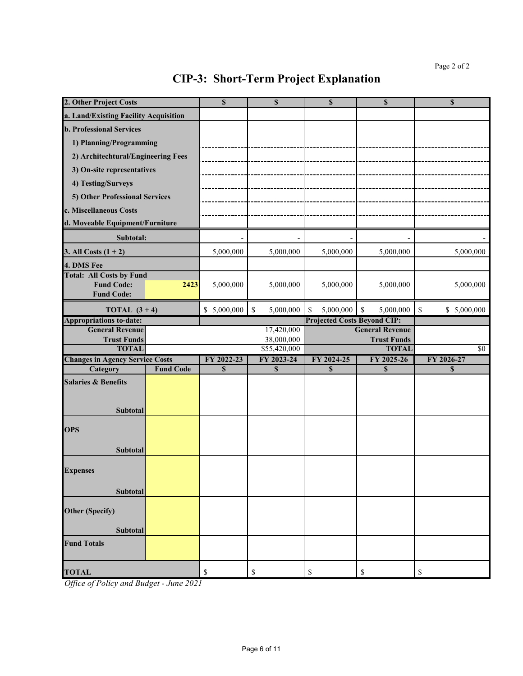| 2. Other Project Costs                                                    |                  | \$          | \$              | \$                                 | \$                                           | \$                |
|---------------------------------------------------------------------------|------------------|-------------|-----------------|------------------------------------|----------------------------------------------|-------------------|
| a. Land/Existing Facility Acquisition                                     |                  |             |                 |                                    |                                              |                   |
| <b>b. Professional Services</b>                                           |                  |             |                 |                                    |                                              |                   |
| 1) Planning/Programming                                                   |                  |             |                 |                                    |                                              |                   |
| 2) Architechtural/Engineering Fees                                        |                  |             |                 |                                    |                                              |                   |
| 3) On-site representatives                                                |                  |             |                 |                                    |                                              |                   |
| 4) Testing/Surveys                                                        |                  |             |                 |                                    |                                              |                   |
|                                                                           |                  |             |                 |                                    |                                              |                   |
| 5) Other Professional Services                                            |                  |             |                 |                                    |                                              |                   |
| c. Miscellaneous Costs                                                    |                  |             |                 |                                    |                                              |                   |
| d. Moveable Equipment/Furniture                                           |                  |             |                 |                                    |                                              |                   |
| Subtotal:                                                                 |                  |             |                 |                                    |                                              |                   |
| 3. All Costs $(1 + 2)$                                                    |                  | 5,000,000   | 5,000,000       | 5,000,000                          | 5,000,000                                    | 5,000,000         |
| 4. DMS Fee                                                                |                  |             |                 |                                    |                                              |                   |
| <b>Total: All Costs by Fund</b><br><b>Fund Code:</b><br><b>Fund Code:</b> | 2423             | 5,000,000   | 5,000,000       | 5,000,000                          | 5,000,000                                    | 5,000,000         |
|                                                                           |                  |             |                 |                                    |                                              |                   |
| TOTAL $(3+4)$                                                             |                  | \$5,000,000 | \$<br>5,000,000 | 5,000,000<br>\$                    | \$<br>5,000,000                              | \$<br>\$5,000,000 |
| <b>Appropriations to-date:</b><br><b>General Revenue</b>                  |                  |             | 17,420,000      | <b>Projected Costs Beyond CIP:</b> |                                              |                   |
| <b>Trust Funds</b>                                                        |                  |             | 38,000,000      |                                    | <b>General Revenue</b><br><b>Trust Funds</b> |                   |
| <b>TOTAL</b>                                                              |                  |             | \$55,420,000    |                                    | <b>TOTAL</b>                                 | $\sqrt{50}$       |
| <b>Changes in Agency Service Costs</b>                                    | <b>Fund Code</b> | FY 2022-23  | FY 2023-24      | FY 2024-25                         | FY 2025-26                                   | FY 2026-27        |
| Category                                                                  |                  | $\mathbf S$ | $\mathbf S$     | $\mathbf S$                        | $\mathbf S$                                  | \$                |
| <b>Salaries &amp; Benefits</b><br>Subtotal                                |                  |             |                 |                                    |                                              |                   |
| <b>OPS</b><br>Subtotal                                                    |                  |             |                 |                                    |                                              |                   |
| <b>Expenses</b><br>Subtotal                                               |                  |             |                 |                                    |                                              |                   |
| <b>Other (Specify)</b><br><b>Subtotal</b>                                 |                  |             |                 |                                    |                                              |                   |
| <b>Fund Totals</b>                                                        |                  |             |                 |                                    |                                              |                   |
| <b>TOTAL</b>                                                              |                  | \$          | \$              | \$                                 | \$                                           | \$                |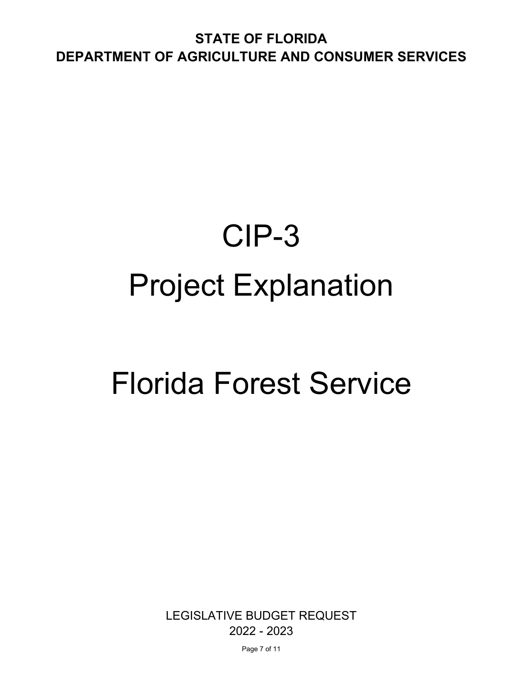**STATE OF FLORIDA DEPARTMENT OF AGRICULTURE AND CONSUMER SERVICES** 

## CIP-3 Project Explanation

## Florida Forest Service

LEGISLATIVE BUDGET REQUEST 2022 - 2023

Page 7 of 11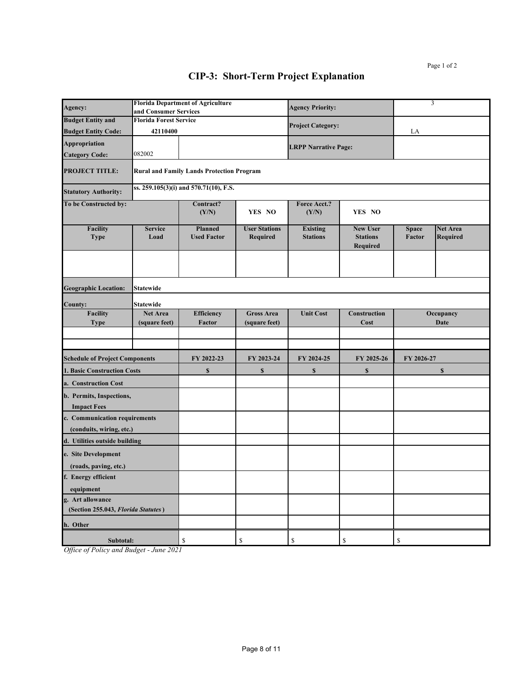| Agency:                                                              | and Consumer Services         | <b>Florida Department of Agriculture</b>         |                                         | <b>Agency Priority:</b>            |                                                | 3                      |                                    |
|----------------------------------------------------------------------|-------------------------------|--------------------------------------------------|-----------------------------------------|------------------------------------|------------------------------------------------|------------------------|------------------------------------|
| <b>Budget Entity and</b>                                             | <b>Florida Forest Service</b> |                                                  |                                         |                                    |                                                |                        |                                    |
| <b>Budget Entity Code:</b>                                           | 42110400                      |                                                  |                                         | <b>Project Category:</b>           |                                                | LA                     |                                    |
| Appropriation                                                        |                               |                                                  |                                         | <b>LRPP Narrative Page:</b>        |                                                |                        |                                    |
| <b>Category Code:</b>                                                | 082002                        |                                                  |                                         |                                    |                                                |                        |                                    |
| <b>PROJECT TITLE:</b>                                                |                               | <b>Rural and Family Lands Protection Program</b> |                                         |                                    |                                                |                        |                                    |
| <b>Statutory Authority:</b>                                          |                               | ss. 259.105(3)(i) and 570.71(10), F.S.           |                                         |                                    |                                                |                        |                                    |
| To be Constructed by:                                                |                               | Contract?<br>(Y/N)                               | YES NO                                  | Force Acct.?<br>(Y/N)              | YES NO                                         |                        |                                    |
| Facility<br><b>Type</b>                                              | <b>Service</b><br>Load        | <b>Planned</b><br><b>Used Factor</b>             | <b>User Stations</b><br><b>Required</b> | <b>Existing</b><br><b>Stations</b> | <b>New User</b><br><b>Stations</b><br>Required | <b>Space</b><br>Factor | <b>Net Area</b><br><b>Required</b> |
| <b>Geographic Location:</b>                                          | <b>Statewide</b>              |                                                  |                                         |                                    |                                                |                        |                                    |
| <b>County:</b>                                                       | <b>Statewide</b>              |                                                  |                                         |                                    |                                                |                        |                                    |
| <b>Facility</b>                                                      | <b>Net Area</b>               | Efficiency                                       | <b>Gross Area</b>                       | <b>Unit Cost</b>                   | Construction                                   |                        | Occupancy                          |
| <b>Type</b>                                                          | (square feet)                 | Factor                                           | (square feet)                           |                                    | Cost                                           |                        | <b>Date</b>                        |
|                                                                      |                               |                                                  |                                         |                                    |                                                |                        |                                    |
| <b>Schedule of Project Components</b>                                |                               | FY 2022-23                                       | FY 2023-24                              | FY 2024-25                         | FY 2025-26                                     | FY 2026-27             |                                    |
| <b>1. Basic Construction Costs</b>                                   |                               | $\mathbb S$                                      | $\mathbb{S}$                            | \$                                 | $\mathbb S$                                    |                        | $\mathbb{S}$                       |
| a. Construction Cost                                                 |                               |                                                  |                                         |                                    |                                                |                        |                                    |
| b. Permits, Inspections,<br><b>Impact Fees</b>                       |                               |                                                  |                                         |                                    |                                                |                        |                                    |
| c. Communication requirements<br>(conduits, wiring, etc.)            |                               |                                                  |                                         |                                    |                                                |                        |                                    |
| d. Utilities outside building                                        |                               |                                                  |                                         |                                    |                                                |                        |                                    |
| e. Site Development                                                  |                               |                                                  |                                         |                                    |                                                |                        |                                    |
| (roads, paving, etc.)<br>f. Energy efficient                         |                               |                                                  |                                         |                                    |                                                |                        |                                    |
| equipment<br>g. Art allowance<br>(Section 255.043, Florida Statutes) |                               |                                                  |                                         |                                    |                                                |                        |                                    |
| h. Other                                                             |                               |                                                  |                                         |                                    |                                                |                        |                                    |
| Subtotal:                                                            |                               | \$                                               | \$                                      | \$                                 | \$                                             | \$                     |                                    |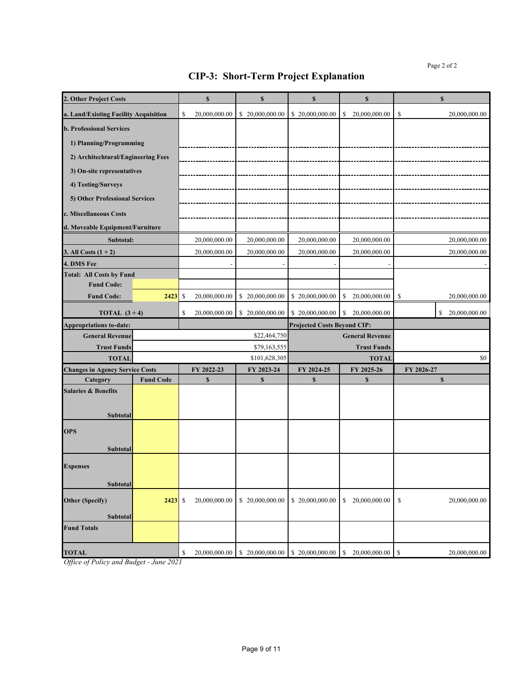| 2. Other Project Costs                                   |                  |               | \$            | $\mathbf S$     | $\mathbf S$                        | \$                     | $\mathbf{s}$        |
|----------------------------------------------------------|------------------|---------------|---------------|-----------------|------------------------------------|------------------------|---------------------|
| a. Land/Existing Facility Acquisition                    |                  | <sup>\$</sup> | 20,000,000.00 | \$20,000,000.00 | \$20,000,000.00                    | 20,000,000.00<br>S     | \$<br>20,000,000.00 |
| <b>b. Professional Services</b>                          |                  |               |               |                 |                                    |                        |                     |
| 1) Planning/Programming                                  |                  |               |               |                 |                                    |                        |                     |
| 2) Architechtural/Engineering Fees                       |                  |               |               |                 |                                    |                        |                     |
| 3) On-site representatives                               |                  |               |               |                 |                                    |                        |                     |
| 4) Testing/Surveys                                       |                  |               |               |                 |                                    |                        |                     |
|                                                          |                  |               |               |                 |                                    |                        |                     |
| 5) Other Professional Services                           |                  |               |               |                 |                                    |                        |                     |
| c. Miscellaneous Costs                                   |                  |               |               |                 |                                    |                        |                     |
| d. Moveable Equipment/Furniture                          |                  |               |               |                 |                                    |                        |                     |
| Subtotal:                                                |                  |               | 20,000,000.00 | 20,000,000.00   | 20,000,000.00                      | 20,000,000.00          | 20,000,000.00       |
| 3. All Costs $(1 + 2)$                                   |                  |               | 20,000,000.00 | 20,000,000.00   | 20,000,000.00                      | 20,000,000.00          | 20,000,000.00       |
| 4. DMS Fee                                               |                  |               |               |                 |                                    |                        |                     |
| <b>Total: All Costs by Fund</b><br><b>Fund Code:</b>     |                  |               |               |                 |                                    |                        |                     |
| <b>Fund Code:</b>                                        | 2423             | <sup>\$</sup> | 20,000,000.00 | \$20,000,000.00 | \$20,000,000.00                    | \$<br>20,000,000.00    | S<br>20,000,000.00  |
|                                                          |                  |               |               |                 |                                    |                        |                     |
| TOTAL $(3+4)$                                            |                  | S             | 20,000,000.00 | \$20,000,000.00 | \$20,000,000.00                    | 20.000.000.00<br>S     | 20,000,000.00<br>\$ |
| <b>Appropriations to-date:</b><br><b>General Revenue</b> |                  |               |               | \$22,464,750    | <b>Projected Costs Beyond CIP:</b> | <b>General Revenue</b> |                     |
| <b>Trust Funds</b>                                       |                  |               |               | \$79,163,555    |                                    | <b>Trust Funds</b>     |                     |
| <b>TOTAL</b>                                             |                  |               |               | \$101,628,305   |                                    | <b>TOTAL</b>           | \$0                 |
| <b>Changes in Agency Service Costs</b>                   |                  |               | FY 2022-23    | FY 2023-24      | FY 2024-25<br>FY 2025-26           |                        | FY 2026-27          |
| Category                                                 | <b>Fund Code</b> |               | $\mathbf S$   | $\mathbf S$     | S                                  | \$                     | $\mathbf S$         |
| <b>Salaries &amp; Benefits</b>                           |                  |               |               |                 |                                    |                        |                     |
|                                                          |                  |               |               |                 |                                    |                        |                     |
| Subtotal                                                 |                  |               |               |                 |                                    |                        |                     |
| <b>OPS</b>                                               |                  |               |               |                 |                                    |                        |                     |
| Subtotal                                                 |                  |               |               |                 |                                    |                        |                     |
|                                                          |                  |               |               |                 |                                    |                        |                     |
| <b>Expenses</b>                                          |                  |               |               |                 |                                    |                        |                     |
| Subtotal                                                 |                  |               |               |                 |                                    |                        |                     |
| <b>Other (Specify)</b>                                   | 2423             | \$            | 20,000,000.00 | \$20,000,000.00 | \$20,000,000.00                    | 20,000,000.00<br>\$    | \$<br>20,000,000.00 |
|                                                          |                  |               |               |                 |                                    |                        |                     |
|                                                          |                  |               |               |                 |                                    |                        |                     |
| Subtotal                                                 |                  |               |               |                 |                                    |                        |                     |
| <b>Fund Totals</b>                                       |                  |               |               |                 |                                    |                        |                     |
| <b>TOTAL</b>                                             |                  | S             | 20,000,000.00 | \$20,000,000.00 | \$20,000,000.00                    | 20,000,000.00<br>S     | \$<br>20,000,000.00 |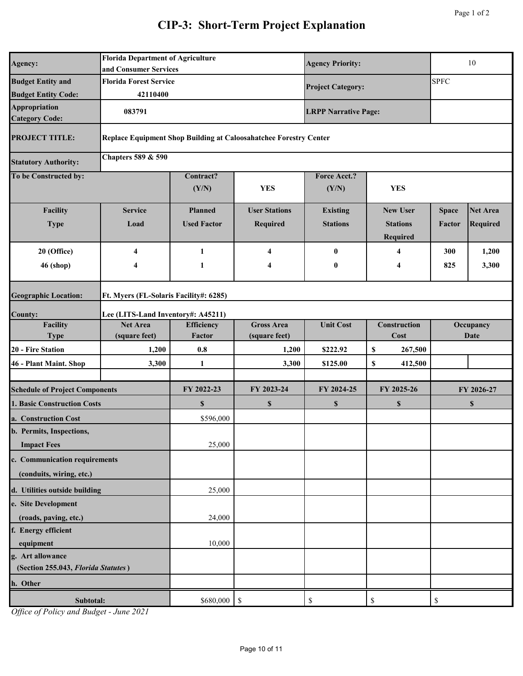| Agency:                                                 | <b>Florida Department of Agriculture</b><br>and Consumer Services |                                        | <b>Agency Priority:</b>                                           | 10                           |                             |              |                           |  |
|---------------------------------------------------------|-------------------------------------------------------------------|----------------------------------------|-------------------------------------------------------------------|------------------------------|-----------------------------|--------------|---------------------------|--|
| <b>Budget Entity and</b>                                | <b>Florida Forest Service</b>                                     |                                        | <b>Project Category:</b>                                          |                              | <b>SPFC</b>                 |              |                           |  |
| <b>Budget Entity Code:</b>                              | 42110400                                                          |                                        |                                                                   |                              |                             |              |                           |  |
| <b>Appropriation</b><br><b>Category Code:</b>           | 083791                                                            |                                        |                                                                   | <b>LRPP Narrative Page:</b>  |                             |              |                           |  |
| <b>PROJECT TITLE:</b>                                   |                                                                   |                                        | Replace Equipment Shop Building at Caloosahatchee Forestry Center |                              |                             |              |                           |  |
| <b>Statutory Authority:</b>                             | <b>Chapters 589 &amp; 590</b>                                     |                                        |                                                                   |                              |                             |              |                           |  |
| To be Constructed by:                                   |                                                                   | Contract?<br>(Y/N)                     | <b>YES</b>                                                        | <b>Force Acct.?</b><br>(Y/N) | <b>YES</b>                  |              |                           |  |
| Facility                                                | <b>Service</b>                                                    | <b>Planned</b>                         | <b>User Stations</b>                                              | <b>Existing</b>              | <b>New User</b>             | <b>Space</b> | <b>Net Area</b>           |  |
| <b>Type</b>                                             | Load                                                              | <b>Used Factor</b>                     | Required                                                          | <b>Stations</b>              | <b>Stations</b><br>Required | Factor       | <b>Required</b>           |  |
| 20 (Office)                                             | 4                                                                 | 1                                      | 4                                                                 | $\bf{0}$                     | 4                           | 300          | 1,200                     |  |
| <b>46 (shop)</b>                                        | 4                                                                 | 1                                      | 4                                                                 | $\boldsymbol{0}$             | 4                           | 825          | 3,300                     |  |
| <b>Geographic Location:</b>                             |                                                                   | Ft. Myers (FL-Solaris Facility#: 6285) |                                                                   |                              |                             |              |                           |  |
| <b>County:</b>                                          | Lee (LITS-Land Inventory#: A45211)                                |                                        |                                                                   |                              |                             |              |                           |  |
| Facility                                                | <b>Net Area</b>                                                   | Efficiency                             | <b>Gross Area</b>                                                 | <b>Unit Cost</b>             | Construction                | Occupancy    |                           |  |
| <b>Type</b>                                             | (square feet)                                                     | Factor                                 | (square feet)                                                     |                              | Cost                        |              | <b>Date</b>               |  |
| 20 - Fire Station                                       | 1,200                                                             | 0.8                                    | 1,200                                                             | \$222.92                     | 267,500<br>\$               |              |                           |  |
| 46 - Plant Maint. Shop                                  | 3,300                                                             | 1                                      | 3,300                                                             | \$125.00                     | 412,500<br>\$               |              |                           |  |
| <b>Schedule of Project Components</b>                   |                                                                   | FY 2022-23                             | FY 2023-24                                                        | FY 2024-25                   | FY 2025-26                  |              | FY 2026-27                |  |
| 1. Basic Construction Costs                             |                                                                   | $\mathbf S$                            | \$                                                                | $\boldsymbol{\mathsf{s}}$    | \$                          |              | $\boldsymbol{\mathsf{s}}$ |  |
| a. Construction Cost                                    |                                                                   | \$596,000                              |                                                                   |                              |                             |              |                           |  |
| b. Permits, Inspections,<br><b>Impact Fees</b>          |                                                                   | 25,000                                 |                                                                   |                              |                             |              |                           |  |
| c. Communication requirements                           |                                                                   |                                        |                                                                   |                              |                             |              |                           |  |
| (conduits, wiring, etc.)                                |                                                                   |                                        |                                                                   |                              |                             |              |                           |  |
| d. Utilities outside building                           |                                                                   | 25,000                                 |                                                                   |                              |                             |              |                           |  |
| e. Site Development                                     |                                                                   |                                        |                                                                   |                              |                             |              |                           |  |
| (roads, paving, etc.)                                   |                                                                   | 24,000                                 |                                                                   |                              |                             |              |                           |  |
| f. Energy efficient                                     |                                                                   |                                        |                                                                   |                              |                             |              |                           |  |
| equipment                                               |                                                                   | 10,000                                 |                                                                   |                              |                             |              |                           |  |
| g. Art allowance<br>(Section 255.043, Florida Statutes) |                                                                   |                                        |                                                                   |                              |                             |              |                           |  |
| h. Other                                                |                                                                   |                                        |                                                                   |                              |                             |              |                           |  |
| Subtotal:                                               |                                                                   | \$680,000                              | $\boldsymbol{\mathsf{S}}$                                         | $\mathbb{S}$                 | $\$$                        | \$           |                           |  |